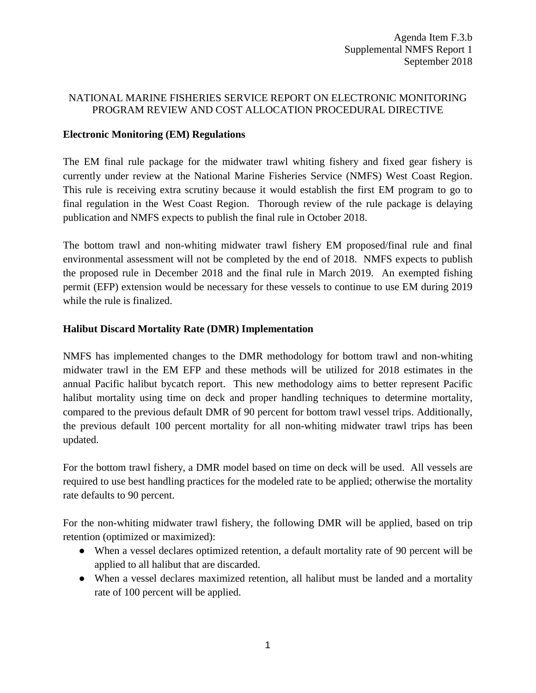## NATIONAL MARINE FISHERIES SERVICE REPORT ON ELECTRONIC MONITORING PROGRAM REVIEW AND COST ALLOCATION PROCEDURAL DIRECTIVE

## **Electronic Monitoring (EM) Regulations**

The EM final rule package for the midwater trawl whiting fishery and fixed gear fishery is currently under review at the National Marine Fisheries Service (NMFS) West Coast Region. This rule is receiving extra scrutiny because it would establish the first EM program to go to final regulation in the West Coast Region. Thorough review of the rule package is delaying publication and NMFS expects to publish the final rule in October 2018.

The bottom trawl and non-whiting midwater trawl fishery EM proposed/final rule and final environmental assessment will not be completed by the end of 2018. NMFS expects to publish the proposed rule in December 2018 and the final rule in March 2019. An exempted fishing permit (EFP) extension would be necessary for these vessels to continue to use EM during 2019 while the rule is finalized.

## **Halibut Discard Mortality Rate (DMR) Implementation**

NMFS has implemented changes to the DMR methodology for bottom trawl and non-whiting midwater trawl in the EM EFP and these methods will be utilized for 2018 estimates in the annual Pacific halibut bycatch report. This new methodology aims to better represent Pacific halibut mortality using time on deck and proper handling techniques to determine mortality, compared to the previous default DMR of 90 percent for bottom trawl vessel trips. Additionally, the previous default 100 percent mortality for all non-whiting midwater trawl trips has been updated.

For the bottom trawl fishery, a DMR model based on time on deck will be used. All vessels are required to use best handling practices for the modeled rate to be applied; otherwise the mortality rate defaults to 90 percent.

For the non-whiting midwater trawl fishery, the following DMR will be applied, based on trip retention (optimized or maximized):

- When a vessel declares optimized retention, a default mortality rate of 90 percent will be applied to all halibut that are discarded.
- When a vessel declares maximized retention, all halibut must be landed and a mortality rate of 100 percent will be applied.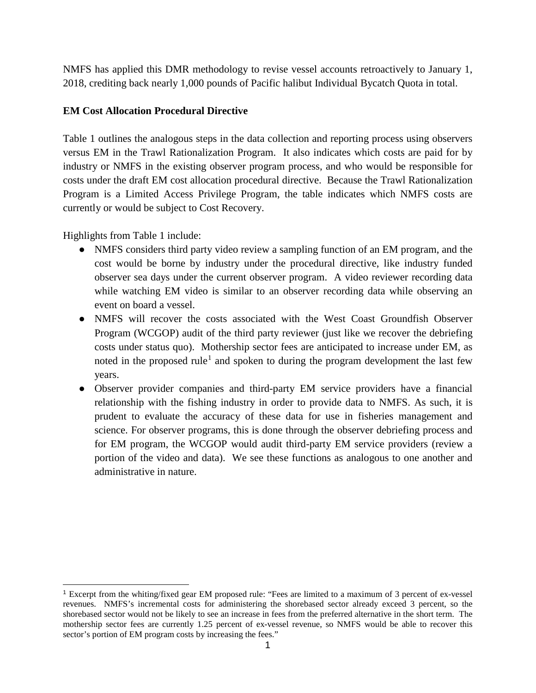NMFS has applied this DMR methodology to revise vessel accounts retroactively to January 1, 2018, crediting back nearly 1,000 pounds of Pacific halibut Individual Bycatch Quota in total.

## **EM Cost Allocation Procedural Directive**

Table 1 outlines the analogous steps in the data collection and reporting process using observers versus EM in the Trawl Rationalization Program. It also indicates which costs are paid for by industry or NMFS in the existing observer program process, and who would be responsible for costs under the draft EM cost allocation procedural directive. Because the Trawl Rationalization Program is a Limited Access Privilege Program, the table indicates which NMFS costs are currently or would be subject to Cost Recovery.

Highlights from Table 1 include:

- NMFS considers third party video review a sampling function of an EM program, and the cost would be borne by industry under the procedural directive, like industry funded observer sea days under the current observer program. A video reviewer recording data while watching EM video is similar to an observer recording data while observing an event on board a vessel.
- NMFS will recover the costs associated with the West Coast Groundfish Observer Program (WCGOP) audit of the third party reviewer (just like we recover the debriefing costs under status quo). Mothership sector fees are anticipated to increase under EM, as noted in the proposed rule<sup>[1](#page-1-0)</sup> and spoken to during the program development the last few years.
- Observer provider companies and third-party EM service providers have a financial relationship with the fishing industry in order to provide data to NMFS. As such, it is prudent to evaluate the accuracy of these data for use in fisheries management and science. For observer programs, this is done through the observer debriefing process and for EM program, the WCGOP would audit third-party EM service providers (review a portion of the video and data). We see these functions as analogous to one another and administrative in nature.

<span id="page-1-0"></span> <sup>1</sup> Excerpt from the whiting/fixed gear EM proposed rule: "Fees are limited to a maximum of 3 percent of ex-vessel revenues. NMFS's incremental costs for administering the shorebased sector already exceed 3 percent, so the shorebased sector would not be likely to see an increase in fees from the preferred alternative in the short term. The mothership sector fees are currently 1.25 percent of ex-vessel revenue, so NMFS would be able to recover this sector's portion of EM program costs by increasing the fees."